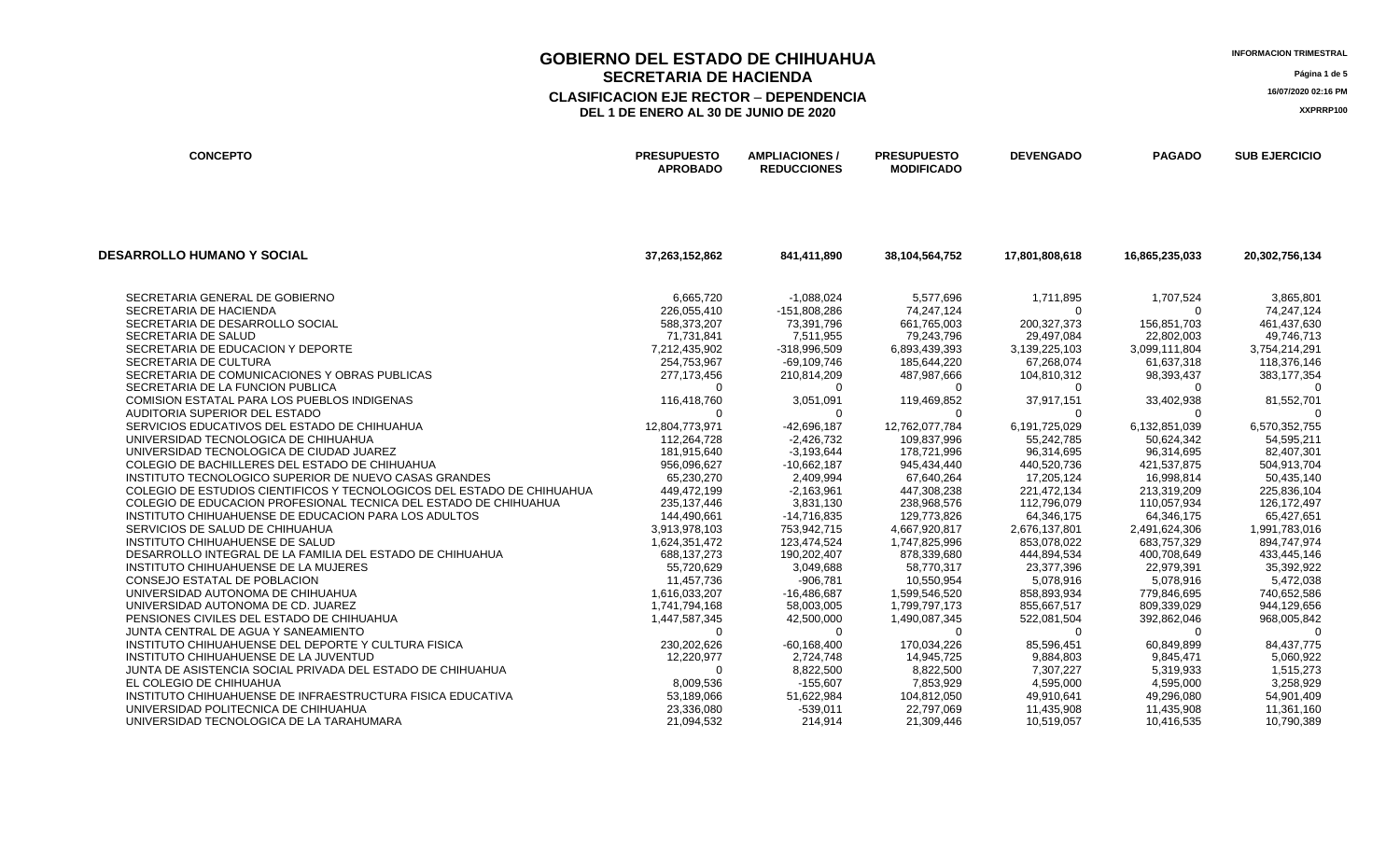# **GOBIERNO DEL ESTADO DE CHIHUAHUA INFORMACION TRIMESTRAL SECRETARIA DE HACIENDA Página 1 de 5 CLASIFICACION EJE RECTOR** – **DEPENDENCIA 16/07/2020 02:16 PM** DEL 1 DE ENERO AL 30 DE JUNIO DE 2020

| <b>CONCEPTO</b>                                                        | <b>PRESUPUESTO</b><br><b>APROBADO</b> | <b>AMPLIACIONES /</b><br><b>REDUCCIONES</b> | <b>PRESUPUESTO</b><br><b>MODIFICADO</b> | <b>DEVENGADO</b> | <b>PAGADO</b>  | <b>SUB EJERCICIO</b> |
|------------------------------------------------------------------------|---------------------------------------|---------------------------------------------|-----------------------------------------|------------------|----------------|----------------------|
| <b>DESARROLLO HUMANO Y SOCIAL</b>                                      | 37,263,152,862                        | 841,411,890                                 | 38,104,564,752                          | 17,801,808,618   | 16,865,235,033 | 20,302,756,134       |
|                                                                        |                                       |                                             |                                         |                  |                |                      |
| SECRETARIA GENERAL DE GOBIERNO                                         | 6,665,720                             | $-1,088,024$                                | 5,577,696                               | 1,711,895        | 1,707,524      | 3,865,801            |
| SECRETARIA DE HACIENDA                                                 | 226.055.410                           | -151.808.286                                | 74.247.124                              | $\Omega$         | $\Omega$       | 74.247.124           |
| SECRETARIA DE DESARROLLO SOCIAL                                        | 588,373,207                           | 73,391,796                                  | 661,765,003                             | 200, 327, 373    | 156,851,703    | 461,437,630          |
| SECRETARIA DE SALUD                                                    | 71,731,841                            | 7,511,955                                   | 79,243,796                              | 29,497,084       | 22,802,003     | 49,746,713           |
| SECRETARIA DE EDUCACION Y DEPORTE                                      | 7,212,435,902                         | -318,996,509                                | 6,893,439,393                           | 3,139,225,103    | 3,099,111,804  | 3,754,214,291        |
| SECRETARIA DE CULTURA                                                  | 254,753,967                           | $-69, 109, 746$                             | 185,644,220                             | 67,268,074       | 61,637,318     | 118,376,146          |
| SECRETARIA DE COMUNICACIONES Y OBRAS PUBLICAS                          | 277, 173, 456                         | 210,814,209                                 | 487,987,666                             | 104,810,312      | 98,393,437     | 383, 177, 354        |
| SECRETARIA DE LA FUNCION PUBLICA                                       | $\Omega$                              | $\Omega$                                    | $\Omega$                                | $\Omega$         | $\Omega$       | $\Omega$             |
| <b>COMISION ESTATAL PARA LOS PUEBLOS INDIGENAS</b>                     | 116,418,760                           | 3,051,091                                   | 119,469,852                             | 37,917,151       | 33,402,938     | 81,552,701           |
| AUDITORIA SUPERIOR DEL ESTADO                                          | $\Omega$                              | $\Omega$                                    | $\Omega$                                | - 0              | $\Omega$       |                      |
| SERVICIOS EDUCATIVOS DEL ESTADO DE CHIHUAHUA                           | 12,804,773,971                        | $-42,696,187$                               | 12,762,077,784                          | 6,191,725,029    | 6,132,851,039  | 6,570,352,755        |
| UNIVERSIDAD TECNOLOGICA DE CHIHUAHUA                                   | 112,264,728                           | $-2,426,732$                                | 109,837,996                             | 55.242.785       | 50,624,342     | 54,595,211           |
| UNIVERSIDAD TECNOLOGICA DE CIUDAD JUAREZ                               | 181,915,640                           | $-3,193,644$                                | 178,721,996                             | 96,314,695       | 96,314,695     | 82,407,301           |
| COLEGIO DE BACHILLERES DEL ESTADO DE CHIHUAHUA                         | 956,096,627                           | $-10,662,187$                               | 945,434,440                             | 440,520,736      | 421,537,875    | 504,913,704          |
| INSTITUTO TECNOLOGICO SUPERIOR DE NUEVO CASAS GRANDES                  | 65,230,270                            | 2,409,994                                   | 67,640,264                              | 17,205,124       | 16,998,814     | 50,435,140           |
| COLEGIO DE ESTUDIOS CIENTIFICOS Y TECNOLOGICOS DEL ESTADO DE CHIHUAHUA | 449,472,199                           | $-2,163,961$                                | 447,308,238                             | 221,472,134      | 213,319,209    | 225,836,104          |
| COLEGIO DE EDUCACION PROFESIONAL TECNICA DEL ESTADO DE CHIHUAHUA       | 235, 137, 446                         | 3,831,130                                   | 238.968.576                             | 112.796.079      | 110.057.934    | 126.172.497          |
| INSTITUTO CHIHUAHUENSE DE EDUCACION PARA LOS ADULTOS                   | 144,490,661                           | $-14,716,835$                               | 129,773,826                             | 64,346,175       | 64,346,175     | 65,427,651           |
| SERVICIOS DE SALUD DE CHIHUAHUA                                        | 3,913,978,103                         | 753,942,715                                 | 4,667,920,817                           | 2,676,137,801    | 2,491,624,306  | 1,991,783,016        |
| INSTITUTO CHIHUAHUENSE DE SALUD                                        | 1,624,351,472                         | 123,474,524                                 | 1,747,825,996                           | 853,078,022      | 683,757,329    | 894,747,974          |
| DESARROLLO INTEGRAL DE LA FAMILIA DEL ESTADO DE CHIHUAHUA              | 688,137,273                           | 190,202,407                                 | 878,339,680                             | 444,894,534      | 400,708,649    | 433,445,146          |
| INSTITUTO CHIHUAHUENSE DE LA MUJERES                                   | 55,720,629                            | 3,049,688                                   | 58,770,317                              | 23,377,396       | 22,979,391     | 35,392,922           |
| CONSEJO ESTATAL DE POBLACION                                           | 11,457,736                            | $-906,781$                                  | 10,550,954                              | 5,078,916        | 5,078,916      | 5,472,038            |
| UNIVERSIDAD AUTONOMA DE CHIHUAHUA                                      | 1,616,033,207                         | $-16,486,687$                               | 1,599,546,520                           | 858,893,934      | 779,846,695    | 740,652,586          |
| UNIVERSIDAD AUTONOMA DE CD. JUAREZ                                     | 1,741,794,168                         | 58,003,005                                  | 1,799,797,173                           | 855,667,517      | 809,339,029    | 944,129,656          |
| PENSIONES CIVILES DEL ESTADO DE CHIHUAHUA                              | 1,447,587,345                         | 42,500,000                                  | 1,490,087,345                           | 522,081,504      | 392,862,046    | 968,005,842          |
| JUNTA CENTRAL DE AGUA Y SANEAMIENTO                                    | $\Omega$                              | $\Omega$                                    | $\Omega$                                | $\Omega$         | $\Omega$       | $\Omega$             |
| INSTITUTO CHIHUAHUENSE DEL DEPORTE Y CULTURA FISICA                    | 230,202,626                           | $-60,168,400$                               | 170,034,226                             | 85,596,451       | 60,849,899     | 84,437,775           |
| INSTITUTO CHIHUAHUENSE DE LA JUVENTUD                                  | 12,220,977                            | 2,724,748                                   | 14,945,725                              | 9,884,803        | 9,845,471      | 5,060,922            |
| JUNTA DE ASISTENCIA SOCIAL PRIVADA DEL ESTADO DE CHIHUAHUA             | $\Omega$                              | 8,822,500                                   | 8,822,500                               | 7.307.227        | 5,319,933      | 1,515,273            |
| EL COLEGIO DE CHIHUAHUA                                                | 8,009,536                             | $-155,607$                                  | 7,853,929                               | 4,595,000        | 4,595,000      | 3,258,929            |
| INSTITUTO CHIHUAHUENSE DE INFRAESTRUCTURA FISICA EDUCATIVA             | 53,189,066                            | 51,622,984                                  | 104,812,050                             | 49,910,641       | 49,296,080     | 54,901,409           |
| UNIVERSIDAD POLITECNICA DE CHIHUAHUA                                   | 23,336,080                            | $-539,011$                                  | 22,797,069                              | 11,435,908       | 11,435,908     | 11,361,160           |
| UNIVERSIDAD TECNOLOGICA DE LA TARAHUMARA                               | 21,094,532                            | 214,914                                     | 21,309,446                              | 10,519,057       | 10,416,535     | 10,790,389           |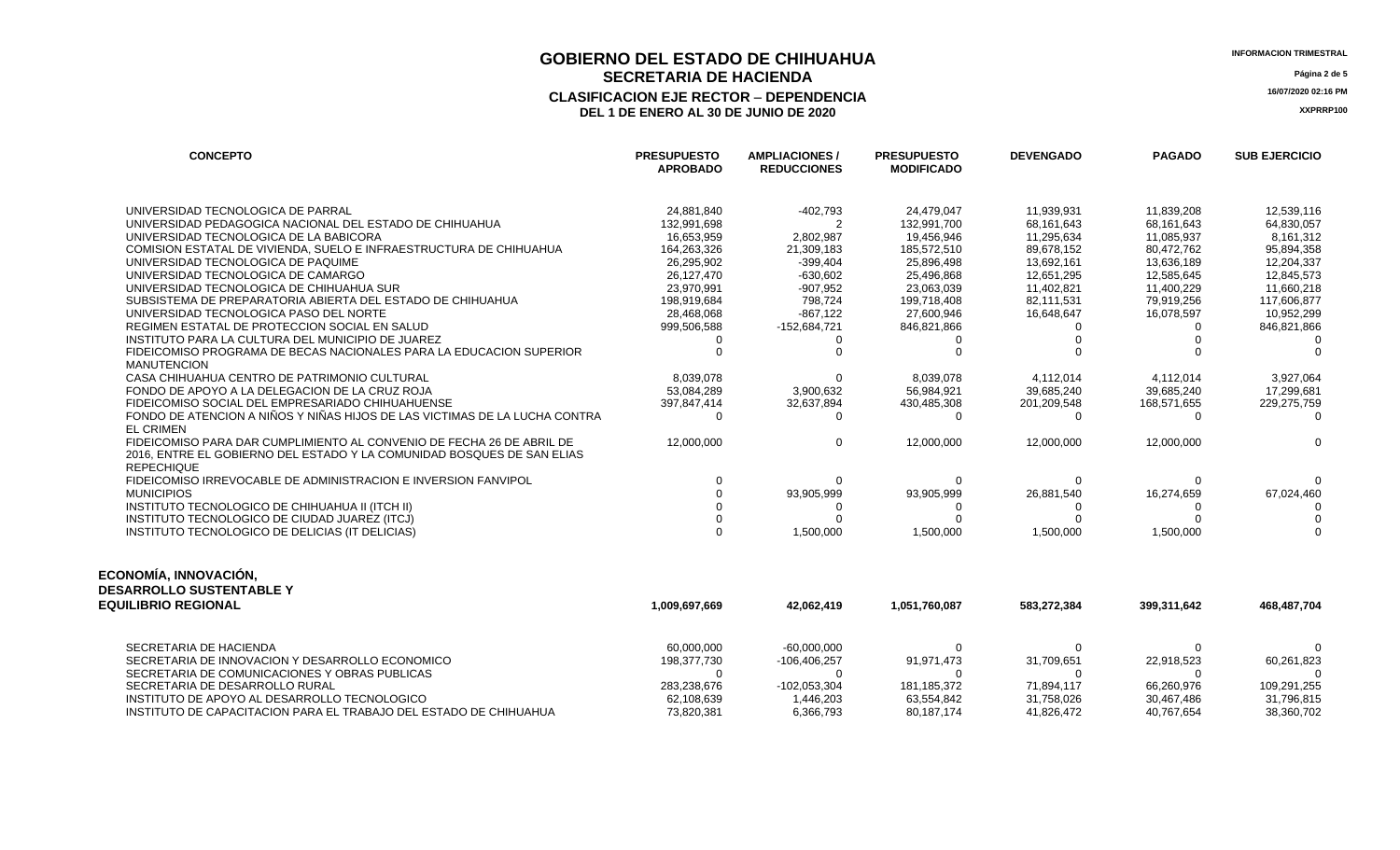**GOBIERNO DEL ESTADO DE CHIHUAHUA INFORMACION TRIMESTRAL SECRETARIA DE HACIENDA Página 2 de 5 CLASIFICACION EJE RECTOR** – **DEPENDENCIA 16/07/2020 02:16 PM** DEL 1 DE ENERO AL 30 DE JUNIO DE 2020

| <b>CONCEPTO</b>                                                                                          | <b>PRESUPUESTO</b><br><b>APROBADO</b> | <b>AMPLIACIONES /</b><br><b>REDUCCIONES</b> | <b>PRESUPUESTO</b><br><b>MODIFICADO</b> | <b>DEVENGADO</b>         | <b>PAGADO</b>            | <b>SUB EJERCICIO</b>      |
|----------------------------------------------------------------------------------------------------------|---------------------------------------|---------------------------------------------|-----------------------------------------|--------------------------|--------------------------|---------------------------|
| UNIVERSIDAD TECNOLOGICA DE PARRAL                                                                        | 24,881,840                            | $-402,793$                                  | 24,479,047                              | 11,939,931               | 11,839,208               | 12,539,116                |
| UNIVERSIDAD PEDAGOGICA NACIONAL DEL ESTADO DE CHIHUAHUA                                                  | 132,991,698                           |                                             | 132,991,700                             | 68,161,643               | 68,161,643               | 64,830,057                |
| UNIVERSIDAD TECNOLOGICA DE LA BABICORA                                                                   | 16,653,959                            | 2,802,987                                   | 19,456,946                              | 11,295,634               | 11,085,937               | 8,161,312                 |
| COMISION ESTATAL DE VIVIENDA, SUELO E INFRAESTRUCTURA DE CHIHUAHUA<br>UNIVERSIDAD TECNOLOGICA DE PAQUIME | 164,263,326<br>26,295,902             | 21,309,183<br>$-399,404$                    | 185,572,510<br>25,896,498               | 89,678,152<br>13,692,161 | 80,472,762<br>13,636,189 | 95,894,358<br>12,204,337  |
| UNIVERSIDAD TECNOLOGICA DE CAMARGO                                                                       | 26,127,470                            | $-630,602$                                  | 25,496,868                              | 12,651,295               | 12,585,645               | 12,845,573                |
| UNIVERSIDAD TECNOLOGICA DE CHIHUAHUA SUR                                                                 | 23,970,991                            | $-907,952$                                  | 23,063,039                              | 11,402,821               | 11,400,229               | 11,660,218                |
| SUBSISTEMA DE PREPARATORIA ABIERTA DEL ESTADO DE CHIHUAHUA                                               | 198.919.684                           | 798.724                                     | 199.718.408                             | 82.111.531               | 79.919.256               | 117.606.877               |
| UNIVERSIDAD TECNOLOGICA PASO DEL NORTE                                                                   | 28,468,068                            | $-867,122$                                  | 27,600,946                              | 16,648,647               | 16,078,597               | 10,952,299                |
| REGIMEN ESTATAL DE PROTECCION SOCIAL EN SALUD                                                            | 999,506,588                           | -152,684,721                                | 846,821,866                             |                          |                          | 846,821,866               |
| INSTITUTO PARA LA CULTURA DEL MUNICIPIO DE JUAREZ                                                        | 0                                     |                                             | $\Omega$                                |                          |                          |                           |
| FIDEICOMISO PROGRAMA DE BECAS NACIONALES PARA LA EDUCACION SUPERIOR                                      | $\Omega$                              | $\Omega$                                    | $\Omega$                                |                          |                          | $\Omega$                  |
| <b>MANUTENCION</b>                                                                                       |                                       |                                             |                                         |                          |                          |                           |
| CASA CHIHUAHUA CENTRO DE PATRIMONIO CULTURAL                                                             | 8.039.078                             |                                             | 8.039.078                               | 4.112.014                | 4.112.014                | 3.927.064                 |
| FONDO DE APOYO A LA DELEGACION DE LA CRUZ ROJA                                                           | 53.084.289                            | 3,900,632                                   | 56.984.921                              | 39.685.240               | 39.685.240               | 17.299.681                |
| FIDEICOMISO SOCIAL DEL EMPRESARIADO CHIHUAHUENSE                                                         | 397,847,414                           | 32,637,894                                  | 430,485,308                             | 201,209,548              | 168,571,655              | 229,275,759               |
| FONDO DE ATENCION A NIÑOS Y NIÑAS HIJOS DE LAS VICTIMAS DE LA LUCHA CONTRA                               | $\Omega$                              | $\Omega$                                    | $\Omega$                                | $\Omega$                 | $\Omega$                 |                           |
| <b>EL CRIMEN</b>                                                                                         |                                       |                                             |                                         |                          |                          |                           |
| FIDEICOMISO PARA DAR CUMPLIMIENTO AL CONVENIO DE FECHA 26 DE ABRIL DE                                    | 12,000,000                            | $\Omega$                                    | 12,000,000                              | 12,000,000               | 12,000,000               |                           |
| 2016. ENTRE EL GOBIERNO DEL ESTADO Y LA COMUNIDAD BOSQUES DE SAN ELIAS<br><b>REPECHIQUE</b>              |                                       |                                             |                                         |                          |                          |                           |
| FIDEICOMISO IRREVOCABLE DE ADMINISTRACION E INVERSION FANVIPOL                                           | $\Omega$                              |                                             | $\Omega$                                | $\Omega$                 |                          |                           |
| <b>MUNICIPIOS</b>                                                                                        |                                       | 93,905,999                                  | 93,905,999                              | 26,881,540               | 16,274,659               | 67,024,460                |
| INSTITUTO TECNOLOGICO DE CHIHUAHUA II (ITCH II)                                                          |                                       |                                             | $\Omega$                                |                          |                          |                           |
| INSTITUTO TECNOLOGICO DE CIUDAD JUAREZ (ITCJ)                                                            |                                       |                                             |                                         |                          |                          |                           |
| INSTITUTO TECNOLOGICO DE DELICIAS (IT DELICIAS)                                                          | $\Omega$                              | 1,500,000                                   | 1,500,000                               | 1,500,000                | 1,500,000                |                           |
|                                                                                                          |                                       |                                             |                                         |                          |                          |                           |
| ECONOMÍA, INNOVACIÓN,                                                                                    |                                       |                                             |                                         |                          |                          |                           |
| <b>DESARROLLO SUSTENTABLE Y</b>                                                                          |                                       |                                             |                                         |                          |                          |                           |
| <b>EQUILIBRIO REGIONAL</b>                                                                               | 1.009.697.669                         | 42.062.419                                  | 1,051,760,087                           | 583,272,384              | 399.311.642              | 468,487,704               |
|                                                                                                          |                                       |                                             |                                         |                          |                          |                           |
| SECRETARIA DE HACIENDA                                                                                   | 60,000,000                            | $-60.000.000$                               | $\Omega$                                | $\Omega$                 |                          |                           |
| SECRETARIA DE INNOVACION Y DESARROLLO ECONOMICO                                                          | 198,377,730                           | $-106, 406, 257$                            | 91,971,473                              | 31,709,651               | 22,918,523               | 60,261,823                |
| SECRETARIA DE COMUNICACIONES Y OBRAS PUBLICAS                                                            | $\Omega$                              | $\Omega$                                    | $\Omega$                                | $\Omega$                 |                          |                           |
| SECRETARIA DE DESARROLLO RURAL<br>INSTITUTO DE APOYO AL DESARROLLO TECNOLOGICO                           | 283,238,676                           | $-102,053,304$                              | 181, 185, 372                           | 71,894,117               | 66,260,976               | 109,291,255<br>31,796,815 |
| INSTITUTO DE CAPACITACION PARA EL TRABAJO DEL ESTADO DE CHIHUAHUA                                        | 62,108,639                            | 1,446,203<br>6,366,793                      | 63,554,842<br>80,187,174                | 31,758,026               | 30,467,486<br>40,767,654 |                           |
|                                                                                                          | 73,820,381                            |                                             |                                         | 41,826,472               |                          | 38,360,702                |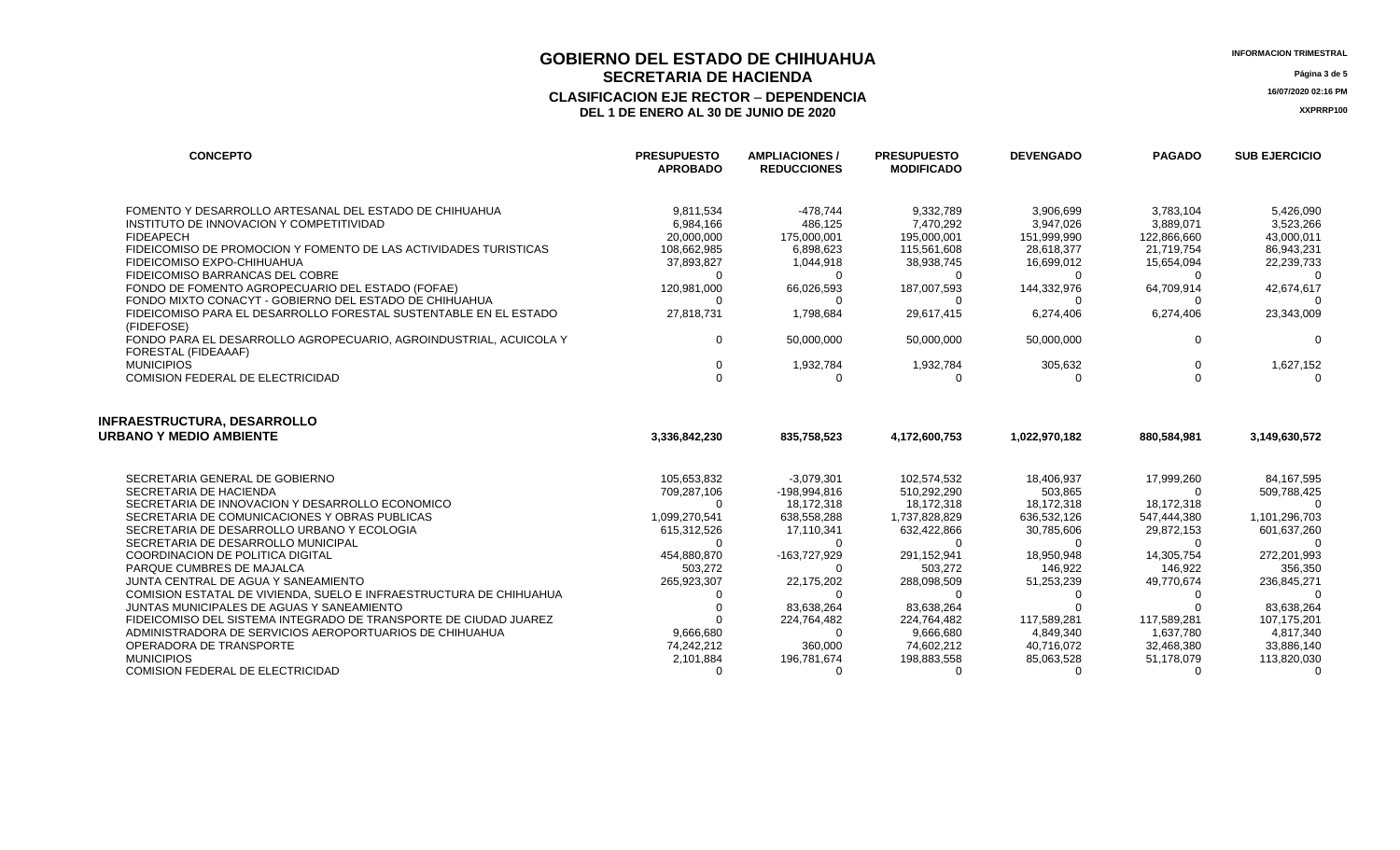**GOBIERNO DEL ESTADO DE CHIHUAHUA INFORMACION TRIMESTRAL SECRETARIA DE HACIENDA Página 3 de 5 CLASIFICACION EJE RECTOR** – **DEPENDENCIA 16/07/2020 02:16 PM** DEL 1 DE ENERO AL 30 DE JUNIO DE 2020

| <b>CONCEPTO</b>                                                                                                                                                                                                                                                                                                                                                                                                                               | <b>PRESUPUESTO</b><br><b>APROBADO</b>                                                          | <b>AMPLIACIONES /</b><br><b>REDUCCIONES</b>                                             | <b>PRESUPUESTO</b><br><b>MODIFICADO</b>                                                         | <b>DEVENGADO</b>                                                                              | <b>PAGADO</b>                                                                                | <b>SUB EJERCICIO</b>                                                                         |
|-----------------------------------------------------------------------------------------------------------------------------------------------------------------------------------------------------------------------------------------------------------------------------------------------------------------------------------------------------------------------------------------------------------------------------------------------|------------------------------------------------------------------------------------------------|-----------------------------------------------------------------------------------------|-------------------------------------------------------------------------------------------------|-----------------------------------------------------------------------------------------------|----------------------------------------------------------------------------------------------|----------------------------------------------------------------------------------------------|
| FOMENTO Y DESARROLLO ARTESANAL DEL ESTADO DE CHIHUAHUA<br>INSTITUTO DE INNOVACION Y COMPETITIVIDAD<br><b>FIDEAPECH</b><br>FIDEICOMISO DE PROMOCION Y FOMENTO DE LAS ACTIVIDADES TURISTICAS<br>FIDEICOMISO EXPO-CHIHUAHUA<br>FIDEICOMISO BARRANCAS DEL COBRE<br>FONDO DE FOMENTO AGROPECUARIO DEL ESTADO (FOFAE)<br>FONDO MIXTO CONACYT - GOBIERNO DEL ESTADO DE CHIHUAHUA<br>FIDEICOMISO PARA EL DESARROLLO FORESTAL SUSTENTABLE EN EL ESTADO | 9,811,534<br>6,984,166<br>20,000,000<br>108,662,985<br>37,893,827<br>120,981,000<br>27,818,731 | -478,744<br>486,125<br>175,000,001<br>6,898,623<br>1,044,918<br>66,026,593<br>1,798,684 | 9,332,789<br>7,470,292<br>195,000,001<br>115,561,608<br>38,938,745<br>187,007,593<br>29,617,415 | 3,906,699<br>3.947.026<br>151,999,990<br>28,618,377<br>16,699,012<br>144,332,976<br>6,274,406 | 3,783,104<br>3,889,071<br>122,866,660<br>21,719,754<br>15,654,094<br>64,709,914<br>6,274,406 | 5,426,090<br>3,523,266<br>43,000,011<br>86,943,231<br>22,239,733<br>42,674,617<br>23,343,009 |
| (FIDEFOSE)<br>FONDO PARA EL DESARROLLO AGROPECUARIO, AGROINDUSTRIAL, ACUICOLA Y<br>FORESTAL (FIDEAAAF)<br><b>MUNICIPIOS</b>                                                                                                                                                                                                                                                                                                                   |                                                                                                | 50,000,000<br>1,932,784                                                                 | 50,000,000<br>1,932,784                                                                         | 50,000,000<br>305,632                                                                         |                                                                                              | 0<br>1,627,152                                                                               |
| <b>COMISION FEDERAL DE ELECTRICIDAD</b><br><b>INFRAESTRUCTURA, DESARROLLO</b>                                                                                                                                                                                                                                                                                                                                                                 |                                                                                                |                                                                                         |                                                                                                 |                                                                                               |                                                                                              |                                                                                              |
| <b>URBANO Y MEDIO AMBIENTE</b>                                                                                                                                                                                                                                                                                                                                                                                                                | 3,336,842,230                                                                                  | 835,758,523                                                                             | 4,172,600,753                                                                                   | 1,022,970,182                                                                                 | 880,584,981                                                                                  | 3,149,630,572                                                                                |

| SECRETARIA GENERAL DE GOBIERNO                                     | 105,653,832   | $-3.079.301$ | 102.574.532   | 18,406,937  | 17.999.260  | 84,167,595    |
|--------------------------------------------------------------------|---------------|--------------|---------------|-------------|-------------|---------------|
| SECRETARIA DE HACIENDA                                             | 709.287.106   | -198.994.816 | 510.292.290   | 503.865     |             | 509.788.425   |
| SECRETARIA DE INNOVACION Y DESARROLLO ECONOMICO                    |               | 18.172.318   | 18.172.318    | 18.172.318  | 18.172.318  |               |
| SECRETARIA DE COMUNICACIONES Y OBRAS PUBLICAS                      | 1.099.270.541 | 638.558.288  | 1.737.828.829 | 636.532.126 | 547.444.380 | 1.101.296.703 |
| SECRETARIA DE DESARROLLO URBANO Y ECOLOGIA                         | 615.312.526   | 17.110.341   | 632.422.866   | 30.785.606  | 29.872.153  | 601.637.260   |
| SECRETARIA DE DESARROLLO MUNICIPAL                                 |               |              |               |             |             |               |
| COORDINACION DE POLITICA DIGITAL                                   | 454.880.870   | -163.727.929 | 291.152.941   | 18.950.948  | 14.305.754  | 272,201,993   |
| PARQUE CUMBRES DE MAJALCA                                          | 503.272       |              | 503.272       | 146.922     | 146.922     | 356.350       |
| JUNTA CENTRAL DE AGUA Y SANEAMIENTO                                | 265.923.307   | 22.175.202   | 288.098.509   | 51.253.239  | 49.770.674  | 236.845.271   |
| COMISION ESTATAL DE VIVIENDA. SUELO E INFRAESTRUCTURA DE CHIHUAHUA |               |              |               |             |             |               |
| JUNTAS MUNICIPALES DE AGUAS Y SANEAMIENTO                          |               | 83.638.264   | 83.638.264    |             |             | 83.638.264    |
| FIDEICOMISO DEL SISTEMA INTEGRADO DE TRANSPORTE DE CIUDAD JUAREZ   |               | 224.764.482  | 224.764.482   | 117.589.281 | 117.589.281 | 107.175.201   |
| ADMINISTRADORA DE SERVICIOS AEROPORTUARIOS DE CHIHUAHUA            | 9.666.680     |              | 9.666.680     | 4.849.340   | 1.637.780   | 4.817.340     |
| OPERADORA DE TRANSPORTE                                            | 74.242.212    | 360,000      | 74.602.212    | 40.716.072  | 32.468.380  | 33.886.140    |
| <b>MUNICIPIOS</b>                                                  | 2.101.884     | 196.781.674  | 198.883.558   | 85.063.528  | 51.178.079  | 113.820.030   |
| COMISION FEDERAL DE ELECTRICIDAD                                   |               |              |               |             |             |               |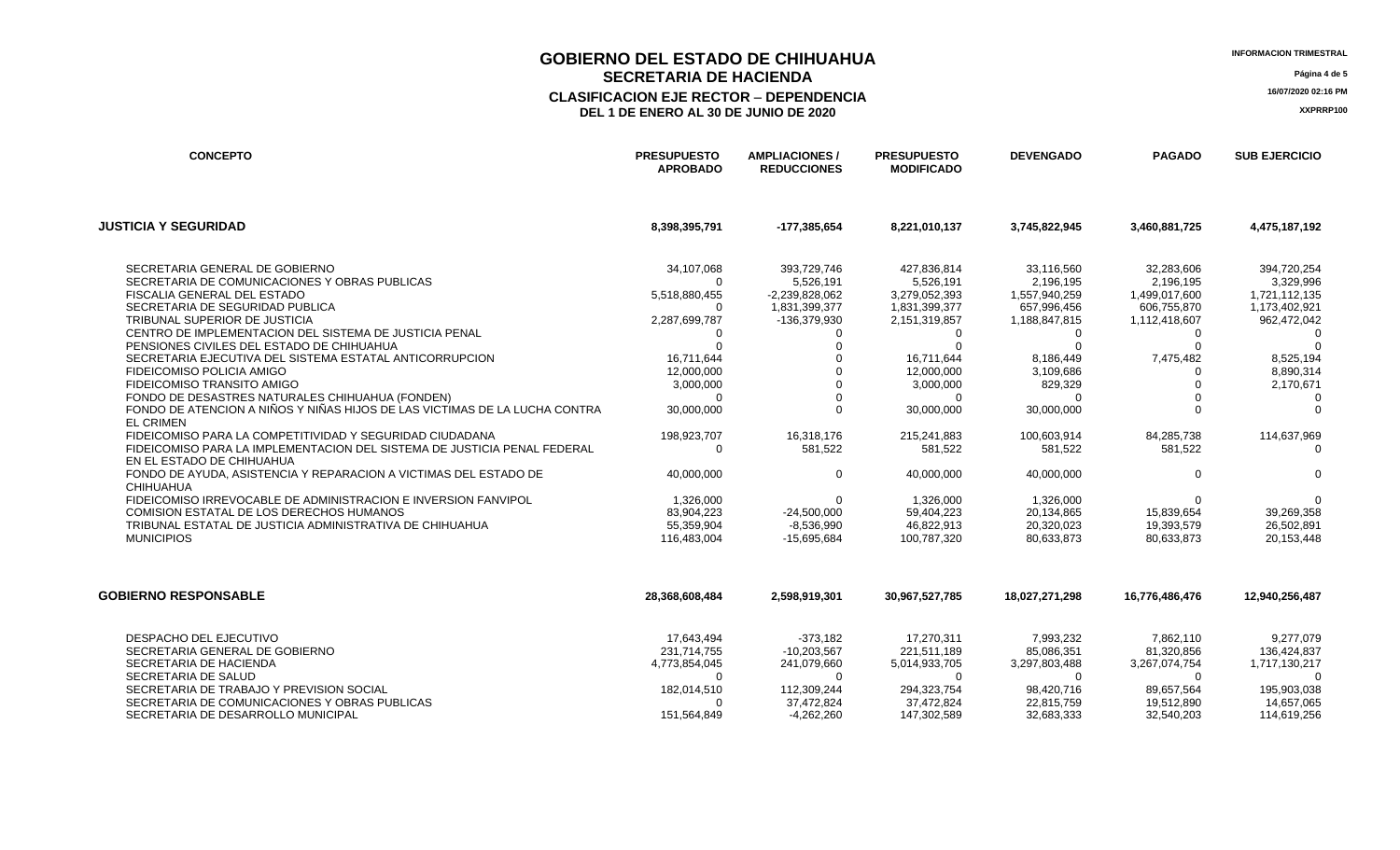### **GOBIERNO DEL ESTADO DE CHIHUAHUA INFORMACION TRIMESTRAL SECRETARIA DE HACIENDA Página 4 de 5 CLASIFICACION EJE RECTOR** – **DEPENDENCIA 16/07/2020 02:16 PM** DEL 1 DE ENERO AL 30 DE JUNIO DE 2020

| <b>CONCEPTO</b>                                                                                                   | <b>PRESUPUESTO</b><br><b>APROBADO</b> | <b>AMPLIACIONES/</b><br><b>REDUCCIONES</b> | <b>PRESUPUESTO</b><br><b>MODIFICADO</b> | <b>DEVENGADO</b>        | <b>PAGADO</b>            | <b>SUB EJERCICIO</b> |
|-------------------------------------------------------------------------------------------------------------------|---------------------------------------|--------------------------------------------|-----------------------------------------|-------------------------|--------------------------|----------------------|
| <b>JUSTICIA Y SEGURIDAD</b>                                                                                       | 8,398,395,791                         | -177,385,654                               | 8,221,010,137                           | 3,745,822,945           | 3,460,881,725            | 4,475,187,192        |
| SECRETARIA GENERAL DE GOBIERNO                                                                                    | 34,107,068                            | 393,729,746                                | 427,836,814                             | 33,116,560              | 32,283,606               | 394,720,254          |
| SECRETARIA DE COMUNICACIONES Y OBRAS PUBLICAS                                                                     |                                       | 5,526,191                                  | 5,526,191                               | 2,196,195               | 2,196,195                | 3,329,996            |
| FISCALIA GENERAL DEL ESTADO                                                                                       | 5,518,880,455                         | $-2,239,828,062$                           | 3,279,052,393                           | 1,557,940,259           | 1,499,017,600            | 1,721,112,135        |
| SECRETARIA DE SEGURIDAD PUBLICA                                                                                   |                                       | 1,831,399,377                              | 1,831,399,377                           | 657,996,456             | 606.755.870              | 1,173,402,921        |
| <b>TRIBUNAL SUPERIOR DE JUSTICIA</b>                                                                              | 2,287,699,787                         | -136,379,930                               | 2,151,319,857                           | 1,188,847,815           | 1,112,418,607            | 962,472,042          |
| CENTRO DE IMPLEMENTACION DEL SISTEMA DE JUSTICIA PENAL                                                            |                                       |                                            |                                         |                         |                          |                      |
| PENSIONES CIVILES DEL ESTADO DE CHIHUAHUA<br>SECRETARIA EJECUTIVA DEL SISTEMA ESTATAL ANTICORRUPCION              | 16,711,644                            |                                            | 16,711,644                              | 8,186,449               | 7,475,482                | 8,525,194            |
| FIDEICOMISO POLICIA AMIGO                                                                                         | 12,000,000                            |                                            | 12,000,000                              | 3,109,686               |                          | 8,890,314            |
| FIDEICOMISO TRANSITO AMIGO                                                                                        | 3,000,000                             |                                            | 3,000,000                               | 829,329                 |                          | 2,170,671            |
| FONDO DE DESASTRES NATURALES CHIHUAHUA (FONDEN)                                                                   |                                       |                                            | $\Omega$                                | ∩                       |                          |                      |
| FONDO DE ATENCION A NIÑOS Y NIÑAS HIJOS DE LAS VICTIMAS DE LA LUCHA CONTRA                                        | 30,000,000                            |                                            | 30,000,000                              | 30,000,000              |                          |                      |
| <b>EL CRIMEN</b>                                                                                                  |                                       |                                            |                                         |                         |                          |                      |
| FIDEICOMISO PARA LA COMPETITIVIDAD Y SEGURIDAD CIUDADANA                                                          | 198,923,707                           | 16.318.176                                 | 215.241.883                             | 100.603.914             | 84,285,738               | 114,637,969          |
| FIDEICOMISO PARA LA IMPLEMENTACION DEL SISTEMA DE JUSTICIA PENAL FEDERAL                                          | $\Omega$                              | 581,522                                    | 581,522                                 | 581,522                 | 581,522                  |                      |
| EN EL ESTADO DE CHIHUAHUA                                                                                         |                                       |                                            |                                         |                         |                          |                      |
| FONDO DE AYUDA, ASISTENCIA Y REPARACION A VICTIMAS DEL ESTADO DE                                                  | 40,000,000                            | $\Omega$                                   | 40,000,000                              | 40,000,000              | $\Omega$                 |                      |
| <b>CHIHUAHUA</b>                                                                                                  |                                       |                                            |                                         |                         |                          |                      |
| FIDEICOMISO IRREVOCABLE DE ADMINISTRACION E INVERSION FANVIPOL<br><b>COMISION ESTATAL DE LOS DERECHOS HUMANOS</b> | 1,326,000<br>83.904.223               |                                            | 1,326,000<br>59,404,223                 | 1,326,000<br>20,134,865 |                          | 39,269,358           |
| TRIBUNAL ESTATAL DE JUSTICIA ADMINISTRATIVA DE CHIHUAHUA                                                          | 55,359,904                            | $-24,500,000$<br>$-8,536,990$              | 46,822,913                              | 20,320,023              | 15,839,654<br>19,393,579 | 26,502,891           |
| <b>MUNICIPIOS</b>                                                                                                 | 116,483,004                           | $-15,695,684$                              | 100,787,320                             | 80,633,873              | 80,633,873               | 20,153,448           |
|                                                                                                                   |                                       |                                            |                                         |                         |                          |                      |
| <b>GOBIERNO RESPONSABLE</b>                                                                                       | 28,368,608,484                        | 2,598,919,301                              | 30,967,527,785                          | 18,027,271,298          | 16,776,486,476           | 12,940,256,487       |
| DESPACHO DEL EJECUTIVO                                                                                            | 17,643,494                            | $-373,182$                                 | 17,270,311                              | 7,993,232               | 7,862,110                | 9,277,079            |
| SECRETARIA GENERAL DE GOBIERNO                                                                                    | 231,714,755                           | $-10,203,567$                              | 221,511,189                             | 85,086,351              | 81,320,856               | 136,424,837          |
| SECRETARIA DE HACIENDA                                                                                            | 4,773,854,045                         | 241,079,660                                | 5,014,933,705                           | 3,297,803,488           | 3,267,074,754            | 1,717,130,217        |
| SECRETARIA DE SALUD                                                                                               |                                       |                                            |                                         | $\Omega$                |                          |                      |
| SECRETARIA DE TRABAJO Y PREVISION SOCIAL                                                                          | 182,014,510                           | 112,309,244                                | 294,323,754                             | 98,420,716              | 89,657,564               | 195,903,038          |
| SECRETARIA DE COMUNICACIONES Y OBRAS PUBLICAS                                                                     |                                       | 37,472,824                                 | 37,472,824                              | 22,815,759              | 19,512,890               | 14,657,065           |
| SECRETARIA DE DESARROLLO MUNICIPAL                                                                                | 151,564,849                           | $-4,262,260$                               | 147,302,589                             | 32,683,333              | 32,540,203               | 114,619,256          |